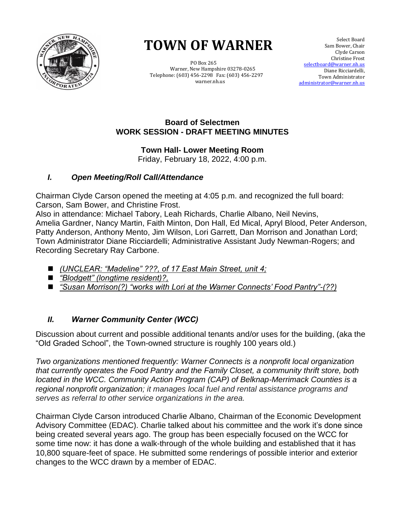

# **TOWN OF WARNER TOWN OF WARNER**

 PO Box 265 PO Box 265 Warner, New Hampshire 03278-0265 Warner, New Hampshire 03278-0265 Telephone: (603) 456-2298 Fax: (603) 456-2297 Telephone: (603) 456-2298 Fax: (603) 456-2297 warner.nh.us warner.nh.us

 Select Board Sam Bower, Chair Clyde Carson Christine Frost selectboard@warner.nh.us Diane Ricciardelli, Town Administrator [administrator@warner.nh.us](mailto:administrator@warner.nh.us)

## **Board of Selectmen WORK SESSION - DRAFT MEETING MINUTES**

**Town Hall- Lower Meeting Room** Friday, February 18, 2022, 4:00 p.m.

## *I. Open Meeting/Roll Call/Attendance*

Chairman Clyde Carson opened the meeting at 4:05 p.m. and recognized the full board: Carson, Sam Bower, and Christine Frost.

Also in attendance: Michael Tabory, Leah Richards, Charlie Albano, Neil Nevins, Amelia Gardner, Nancy Martin, Faith Minton, Don Hall, Ed Mical, Apryl Blood, Peter Anderson, Patty Anderson, Anthony Mento, Jim Wilson, Lori Garrett, Dan Morrison and Jonathan Lord; Town Administrator Diane Ricciardelli; Administrative Assistant Judy Newman-Rogers; and Recording Secretary Ray Carbone.

- ◼ *(UNCLEAR: "Madeline" ???, of 17 East Main Street, unit 4;*
- ◼ *"Blodgett" (longtime resident)?,*
- ◼ *"Susan Morrison(?) "works with Lori at the Warner Connects' Food Pantry"-(??)*

## *II. Warner Community Center (WCC)*

Discussion about current and possible additional tenants and/or uses for the building, (aka the "Old Graded School", the Town-owned structure is roughly 100 years old.)

*Two organizations mentioned frequently: Warner Connects is a nonprofit local organization that currently operates the Food Pantry and the Family Closet, a community thrift store, both located in the WCC. Community Action Program (CAP) of Belknap-Merrimack Counties is a regional nonprofit organization; it manages local fuel and rental assistance programs and serves as referral to other service organizations in the area.* 

Chairman Clyde Carson introduced Charlie Albano, Chairman of the Economic Development Advisory Committee (EDAC). Charlie talked about his committee and the work it's done since being created several years ago. The group has been especially focused on the WCC for some time now: it has done a walk-through of the whole building and established that it has 10,800 square-feet of space. He submitted some renderings of possible interior and exterior changes to the WCC drawn by a member of EDAC.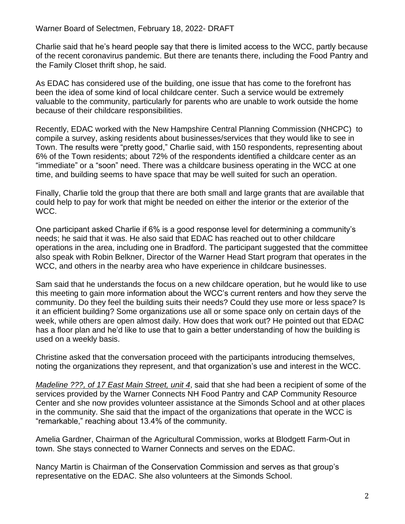Charlie said that he's heard people say that there is limited access to the WCC, partly because of the recent coronavirus pandemic. But there are tenants there, including the Food Pantry and the Family Closet thrift shop, he said.

As EDAC has considered use of the building, one issue that has come to the forefront has been the idea of some kind of local childcare center. Such a service would be extremely valuable to the community, particularly for parents who are unable to work outside the home because of their childcare responsibilities.

Recently, EDAC worked with the New Hampshire Central Planning Commission (NHCPC) to compile a survey, asking residents about businesses/services that they would like to see in Town. The results were "pretty good," Charlie said, with 150 respondents, representing about 6% of the Town residents; about 72% of the respondents identified a childcare center as an "immediate" or a "soon" need. There was a childcare business operating in the WCC at one time, and building seems to have space that may be well suited for such an operation.

Finally, Charlie told the group that there are both small and large grants that are available that could help to pay for work that might be needed on either the interior or the exterior of the WCC.

One participant asked Charlie if 6% is a good response level for determining a community's needs; he said that it was. He also said that EDAC has reached out to other childcare operations in the area, including one in Bradford. The participant suggested that the committee also speak with Robin Belkner, Director of the Warner Head Start program that operates in the WCC, and others in the nearby area who have experience in childcare businesses.

Sam said that he understands the focus on a new childcare operation, but he would like to use this meeting to gain more information about the WCC's current renters and how they serve the community. Do they feel the building suits their needs? Could they use more or less space? Is it an efficient building? Some organizations use all or some space only on certain days of the week, while others are open almost daily. How does that work out? He pointed out that EDAC has a floor plan and he'd like to use that to gain a better understanding of how the building is used on a weekly basis.

Christine asked that the conversation proceed with the participants introducing themselves, noting the organizations they represent, and that organization's use and interest in the WCC.

*Madeline ???, of 17 East Main Street, unit 4*, said that she had been a recipient of some of the services provided by the Warner Connects NH Food Pantry and CAP Community Resource Center and she now provides volunteer assistance at the Simonds School and at other places in the community. She said that the impact of the organizations that operate in the WCC is "remarkable," reaching about 13.4% of the community.

Amelia Gardner, Chairman of the Agricultural Commission, works at Blodgett Farm-Out in town. She stays connected to Warner Connects and serves on the EDAC.

Nancy Martin is Chairman of the Conservation Commission and serves as that group's representative on the EDAC. She also volunteers at the Simonds School.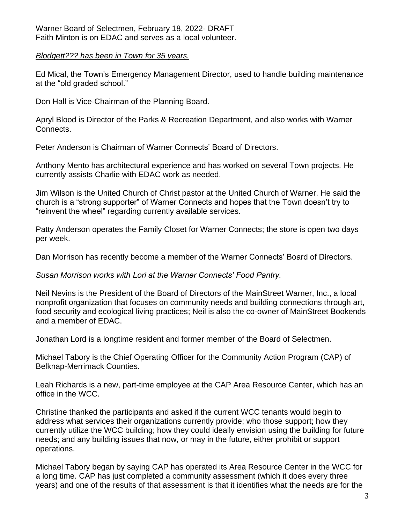#### *Blodgett??? has been in Town for 35 years.*

Ed Mical, the Town's Emergency Management Director, used to handle building maintenance at the "old graded school."

Don Hall is Vice-Chairman of the Planning Board.

Apryl Blood is Director of the Parks & Recreation Department, and also works with Warner Connects.

Peter Anderson is Chairman of Warner Connects' Board of Directors.

Anthony Mento has architectural experience and has worked on several Town projects. He currently assists Charlie with EDAC work as needed.

Jim Wilson is the United Church of Christ pastor at the United Church of Warner. He said the church is a "strong supporter" of Warner Connects and hopes that the Town doesn't try to "reinvent the wheel" regarding currently available services.

Patty Anderson operates the Family Closet for Warner Connects; the store is open two days per week.

Dan Morrison has recently become a member of the Warner Connects' Board of Directors.

## *Susan Morrison works with Lori at the Warner Connects' Food Pantry.*

Neil Nevins is the President of the Board of Directors of the MainStreet Warner, Inc., a local nonprofit organization that focuses on community needs and building connections through art, food security and ecological living practices; Neil is also the co-owner of MainStreet Bookends and a member of EDAC.

Jonathan Lord is a longtime resident and former member of the Board of Selectmen.

Michael Tabory is the Chief Operating Officer for the Community Action Program (CAP) of Belknap-Merrimack Counties.

Leah Richards is a new, part-time employee at the CAP Area Resource Center, which has an office in the WCC.

Christine thanked the participants and asked if the current WCC tenants would begin to address what services their organizations currently provide; who those support; how they currently utilize the WCC building; how they could ideally envision using the building for future needs; and any building issues that now, or may in the future, either prohibit or support operations.

Michael Tabory began by saying CAP has operated its Area Resource Center in the WCC for a long time. CAP has just completed a community assessment (which it does every three years) and one of the results of that assessment is that it identifies what the needs are for the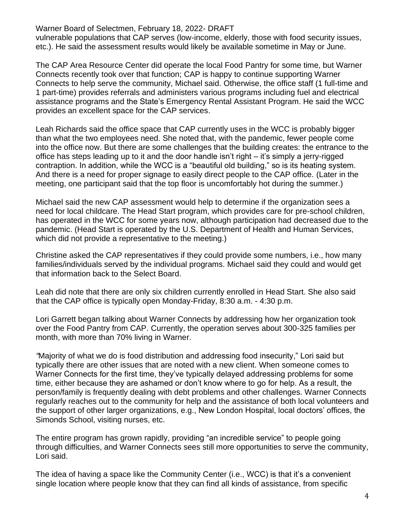vulnerable populations that CAP serves (low-income, elderly, those with food security issues, etc.). He said the assessment results would likely be available sometime in May or June.

The CAP Area Resource Center did operate the local Food Pantry for some time, but Warner Connects recently took over that function; CAP is happy to continue supporting Warner Connects to help serve the community, Michael said. Otherwise, the office staff (1 full-time and 1 part-time) provides referrals and administers various programs including fuel and electrical assistance programs and the State's Emergency Rental Assistant Program. He said the WCC provides an excellent space for the CAP services.

Leah Richards said the office space that CAP currently uses in the WCC is probably bigger than what the two employees need. She noted that, with the pandemic, fewer people come into the office now. But there are some challenges that the building creates: the entrance to the office has steps leading up to it and the door handle isn't right – it's simply a jerry-rigged contraption. In addition, while the WCC is a "beautiful old building," so is its heating system. And there is a need for proper signage to easily direct people to the CAP office. (Later in the meeting, one participant said that the top floor is uncomfortably hot during the summer.)

Michael said the new CAP assessment would help to determine if the organization sees a need for local childcare. The Head Start program, which provides care for pre-school children, has operated in the WCC for some years now, although participation had decreased due to the pandemic. (Head Start is operated by the U.S. Department of Health and Human Services, which did not provide a representative to the meeting.)

Christine asked the CAP representatives if they could provide some numbers, i.e., how many families/individuals served by the individual programs. Michael said they could and would get that information back to the Select Board.

Leah did note that there are only six children currently enrolled in Head Start. She also said that the CAP office is typically open Monday-Friday, 8:30 a.m. - 4:30 p.m.

Lori Garrett began talking about Warner Connects by addressing how her organization took over the Food Pantry from CAP. Currently, the operation serves about 300-325 families per month, with more than 70% living in Warner.

*"*Majority of what we do is food distribution and addressing food insecurity," Lori said but typically there are other issues that are noted with a new client. When someone comes to Warner Connects for the first time, they've typically delayed addressing problems for some time, either because they are ashamed or don't know where to go for help. As a result, the person/family is frequently dealing with debt problems and other challenges. Warner Connects regularly reaches out to the community for help and the assistance of both local volunteers and the support of other larger organizations, e.g., New London Hospital, local doctors' offices, the Simonds School, visiting nurses, etc.

The entire program has grown rapidly, providing "an incredible service" to people going through difficulties, and Warner Connects sees still more opportunities to serve the community, Lori said.

The idea of having a space like the Community Center (i.e., WCC) is that it's a convenient single location where people know that they can find all kinds of assistance, from specific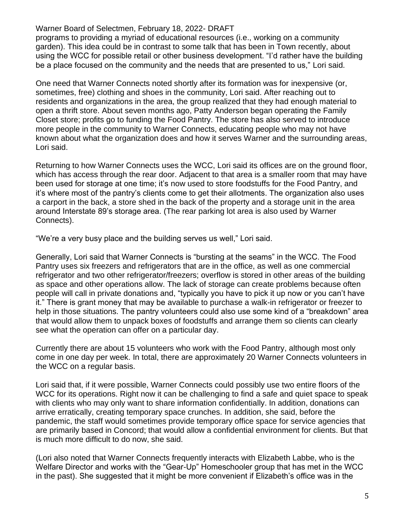programs to providing a myriad of educational resources (i.e., working on a community garden). This idea could be in contrast to some talk that has been in Town recently, about using the WCC for possible retail or other business development. "I'd rather have the building be a place focused on the community and the needs that are presented to us," Lori said.

One need that Warner Connects noted shortly after its formation was for inexpensive (or, sometimes, free) clothing and shoes in the community, Lori said. After reaching out to residents and organizations in the area, the group realized that they had enough material to open a thrift store. About seven months ago, Patty Anderson began operating the Family Closet store; profits go to funding the Food Pantry. The store has also served to introduce more people in the community to Warner Connects, educating people who may not have known about what the organization does and how it serves Warner and the surrounding areas, Lori said.

Returning to how Warner Connects uses the WCC, Lori said its offices are on the ground floor, which has access through the rear door. Adjacent to that area is a smaller room that may have been used for storage at one time; it's now used to store foodstuffs for the Food Pantry, and it's where most of the pantry's clients come to get their allotments. The organization also uses a carport in the back, a store shed in the back of the property and a storage unit in the area around Interstate 89's storage area. (The rear parking lot area is also used by Warner Connects).

"We're a very busy place and the building serves us well," Lori said.

Generally, Lori said that Warner Connects is "bursting at the seams" in the WCC. The Food Pantry uses six freezers and refrigerators that are in the office, as well as one commercial refrigerator and two other refrigerator/freezers; overflow is stored in other areas of the building as space and other operations allow. The lack of storage can create problems because often people will call in private donations and, "typically you have to pick it up now or you can't have it." There is grant money that may be available to purchase a walk-in refrigerator or freezer to help in those situations. The pantry volunteers could also use some kind of a "breakdown" area that would allow them to unpack boxes of foodstuffs and arrange them so clients can clearly see what the operation can offer on a particular day.

Currently there are about 15 volunteers who work with the Food Pantry, although most only come in one day per week. In total, there are approximately 20 Warner Connects volunteers in the WCC on a regular basis.

Lori said that, if it were possible, Warner Connects could possibly use two entire floors of the WCC for its operations. Right now it can be challenging to find a safe and quiet space to speak with clients who may only want to share information confidentially. In addition, donations can arrive erratically, creating temporary space crunches. In addition, she said, before the pandemic, the staff would sometimes provide temporary office space for service agencies that are primarily based in Concord; that would allow a confidential environment for clients. But that is much more difficult to do now, she said.

(Lori also noted that Warner Connects frequently interacts with Elizabeth Labbe, who is the Welfare Director and works with the "Gear-Up" Homeschooler group that has met in the WCC in the past). She suggested that it might be more convenient if Elizabeth's office was in the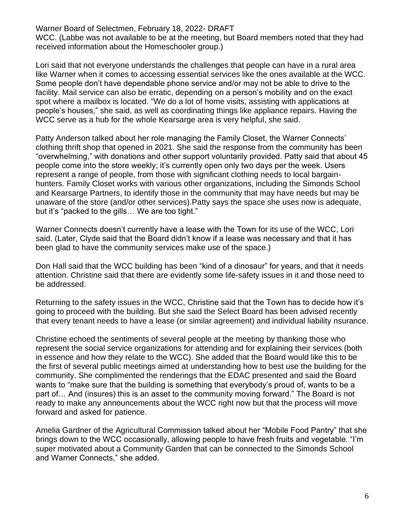WCC. (Labbe was not available to be at the meeting, but Board members noted that they had received information about the Homeschooler group.)

Lori said that not everyone understands the challenges that people can have in a rural area like Warner when it comes to accessing essential services like the ones available at the WCC. Some people don't have dependable phone service and/or may not be able to drive to the facility. Mail service can also be erratic, depending on a person's mobility and on the exact spot where a mailbox is located. "We do a lot of home visits, assisting with applications at people's houses," she said, as well as coordinating things like appliance repairs. Having the WCC serve as a hub for the whole Kearsarge area is very helpful, she said.

Patty Anderson talked about her role managing the Family Closet, the Warner Connects' clothing thrift shop that opened in 2021. She said the response from the community has been "overwhelming," with donations and other support voluntarily provided. Patty said that about 45 people come into the store weekly; it's currently open only two days per the week. Users represent a range of people, from those with significant clothing needs to local bargainhunters. Family Closet works with various other organizations, including the Simonds School and Kearsarge Partners, to identify those in the community that may have needs but may be unaware of the store (and/or other services).Patty says the space she uses now is adequate, but it's "packed to the gills… We are too tight."

Warner Connects doesn't currently have a lease with the Town for its use of the WCC, Lori said. (Later, Clyde said that the Board didn't know if a lease was necessary and that it has been glad to have the community services make use of the space.)

Don Hall said that the WCC building has been "kind of a dinosaur" for years, and that it needs attention. Christine said that there are evidently some life-safety issues in it and those need to be addressed.

Returning to the safety issues in the WCC, Christine said that the Town has to decide how it's going to proceed with the building. But she said the Select Board has been advised recently that every tenant needs to have a lease (or similar agreement) and individual liability nsurance.

Christine echoed the sentiments of several people at the meeting by thanking those who represent the social service organizations for attending and for explaining their services (both in essence and how they relate to the WCC). She added that the Board would like this to be the first of several public meetings aimed at understanding how to best use the building for the community. She complimented the renderings that the EDAC presented and said the Board wants to "make sure that the building is something that everybody's proud of, wants to be a part of… And (insures) this is an asset to the community moving forward." The Board is not ready to make any announcements about the WCC right now but that the process will move forward and asked for patience.

Amelia Gardner of the Agricultural Commission talked about her "Mobile Food Pantry" that she brings down to the WCC occasionally, allowing people to have fresh fruits and vegetable. "I'm super motivated about a Community Garden that can be connected to the Simonds School and Warner Connects," she added.